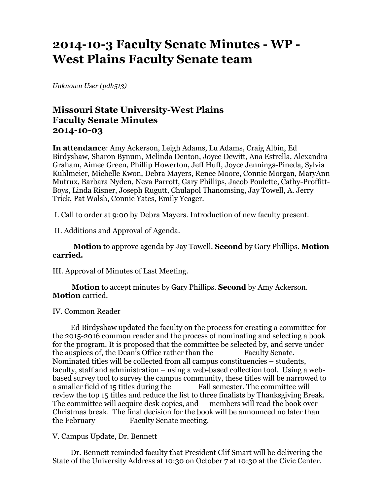# **2014-10-3 Faculty Senate Minutes - WP - West Plains Faculty Senate team**

*Unknown User (pdh513)*

# **Missouri State University-West Plains Faculty Senate Minutes 2014-10-03**

**In attendance**: Amy Ackerson, Leigh Adams, Lu Adams, Craig Albin, Ed Birdyshaw, Sharon Bynum, Melinda Denton, Joyce Dewitt, Ana Estrella, Alexandra Graham, Aimee Green, Phillip Howerton, Jeff Huff, Joyce Jennings-Pineda, Sylvia Kuhlmeier, Michelle Kwon, Debra Mayers, Renee Moore, Connie Morgan, MaryAnn Mutrux, Barbara Nyden, Neva Parrott, Gary Phillips, Jacob Poulette, Cathy-Proffitt-Boys, Linda Risner, Joseph Rugutt, Chulapol Thanomsing, Jay Towell, A. Jerry Trick, Pat Walsh, Connie Yates, Emily Yeager.

I. Call to order at 9:00 by Debra Mayers. Introduction of new faculty present.

II. Additions and Approval of Agenda.

 **Motion** to approve agenda by Jay Towell. **Second** by Gary Phillips. **Motion carried.**

III. Approval of Minutes of Last Meeting.

 **Motion** to accept minutes by Gary Phillips. **Second** by Amy Ackerson. **Motion** carried.

#### IV. Common Reader

 Ed Birdyshaw updated the faculty on the process for creating a committee for the 2015-2016 common reader and the process of nominating and selecting a book for the program. It is proposed that the committee be selected by, and serve under the auspices of, the Dean's Office rather than the Faculty Senate. Nominated titles will be collected from all campus constituencies – students, faculty, staff and administration – using a web-based collection tool. Using a webbased survey tool to survey the campus community, these titles will be narrowed to a smaller field of 15 titles during the Fall semester. The committee will review the top 15 titles and reduce the list to three finalists by Thanksgiving Break. The committee will acquire desk copies, and members will read the book over Christmas break. The final decision for the book will be announced no later than the February Faculty Senate meeting.

#### V. Campus Update, Dr. Bennett

 Dr. Bennett reminded faculty that President Clif Smart will be delivering the State of the University Address at 10:30 on October 7 at 10:30 at the Civic Center.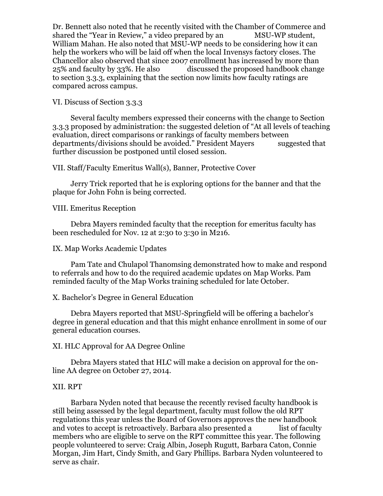Dr. Bennett also noted that he recently visited with the Chamber of Commerce and shared the "Year in Review," a video prepared by an MSU-WP student, William Mahan. He also noted that MSU-WP needs to be considering how it can help the workers who will be laid off when the local Invensys factory closes. The Chancellor also observed that since 2007 enrollment has increased by more than 25% and faculty by 33%. He also discussed the proposed handbook change to section 3.3.3, explaining that the section now limits how faculty ratings are compared across campus.

VI. Discuss of Section 3.3.3

 Several faculty members expressed their concerns with the change to Section 3.3.3 proposed by administration: the suggested deletion of "At all levels of teaching evaluation, direct comparisons or rankings of faculty members between departments/divisions should be avoided." President Mayers suggested that further discussion be postponed until closed session.

VII. Staff/Faculty Emeritus Wall(s), Banner, Protective Cover

 Jerry Trick reported that he is exploring options for the banner and that the plaque for John Fohn is being corrected.

VIII. Emeritus Reception

 Debra Mayers reminded faculty that the reception for emeritus faculty has been rescheduled for Nov. 12 at 2:30 to 3:30 in M216.

#### IX. Map Works Academic Updates

 Pam Tate and Chulapol Thanomsing demonstrated how to make and respond to referrals and how to do the required academic updates on Map Works. Pam reminded faculty of the Map Works training scheduled for late October.

## X. Bachelor's Degree in General Education

 Debra Mayers reported that MSU-Springfield will be offering a bachelor's degree in general education and that this might enhance enrollment in some of our general education courses.

## XI. HLC Approval for AA Degree Online

 Debra Mayers stated that HLC will make a decision on approval for the online AA degree on October 27, 2014.

## XII. RPT

 Barbara Nyden noted that because the recently revised faculty handbook is still being assessed by the legal department, faculty must follow the old RPT regulations this year unless the Board of Governors approves the new handbook and votes to accept is retroactively. Barbara also presented a list of faculty members who are eligible to serve on the RPT committee this year. The following people volunteered to serve: Craig Albin, Joseph Rugutt, Barbara Caton, Connie Morgan, Jim Hart, Cindy Smith, and Gary Phillips. Barbara Nyden volunteered to serve as chair.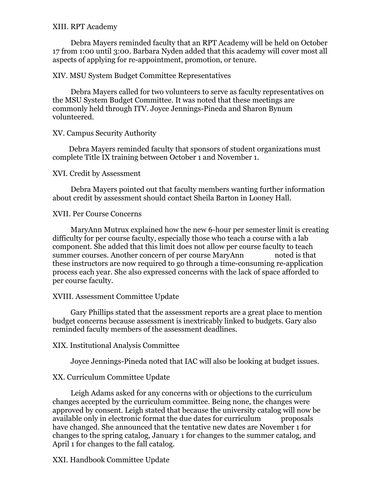#### XIII. RPT Academy

 Debra Mayers reminded faculty that an RPT Academy will be held on October 17 from 1:00 until 3:00. Barbara Nyden added that this academy will cover most all aspects of applying for re-appointment, promotion, or tenure.

#### XIV. MSU System Budget Committee Representatives

 Debra Mayers called for two volunteers to serve as faculty representatives on the MSU System Budget Committee. It was noted that these meetings are commonly held through ITV. Joyce Jennings-Pineda and Sharon Bynum volunteered.

XV. Campus Security Authority

 Debra Mayers reminded faculty that sponsors of student organizations must complete Title IX training between October 1 and November 1.

XVI. Credit by Assessment

 Debra Mayers pointed out that faculty members wanting further information about credit by assessment should contact Sheila Barton in Looney Hall.

XVII. Per Course Concerns

 MaryAnn Mutrux explained how the new 6-hour per semester limit is creating difficulty for per course faculty, especially those who teach a course with a lab component. She added that this limit does not allow per course faculty to teach summer courses. Another concern of per course MaryAnn noted is that these instructors are now required to go through a time-consuming re-application process each year. She also expressed concerns with the lack of space afforded to per course faculty.

## XVIII. Assessment Committee Update

 Gary Phillips stated that the assessment reports are a great place to mention budget concerns because assessment is inextricably linked to budgets. Gary also reminded faculty members of the assessment deadlines.

## XIX. Institutional Analysis Committee

Joyce Jennings-Pineda noted that IAC will also be looking at budget issues.

## XX. Curriculum Committee Update

 Leigh Adams asked for any concerns with or objections to the curriculum changes accepted by the curriculum committee. Being none, the changes were approved by consent. Leigh stated that because the university catalog will now be available only in electronic format the due dates for curriculum proposals have changed. She announced that the tentative new dates are November 1 for changes to the spring catalog, January 1 for changes to the summer catalog, and April 1 for changes to the fall catalog.

XXI. Handbook Committee Update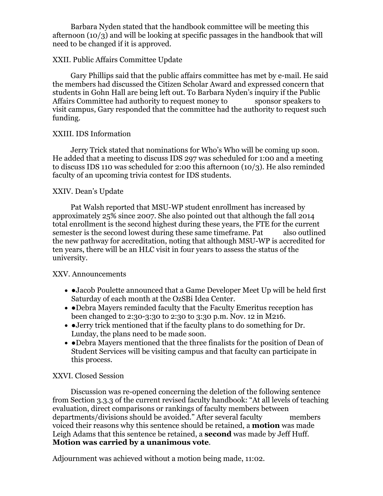Barbara Nyden stated that the handbook committee will be meeting this afternoon (10/3) and will be looking at specific passages in the handbook that will need to be changed if it is approved.

#### XXII. Public Affairs Committee Update

 Gary Phillips said that the public affairs committee has met by e-mail. He said the members had discussed the Citizen Scholar Award and expressed concern that students in Gohn Hall are being left out. To Barbara Nyden's inquiry if the Public Affairs Committee had authority to request money to sponsor speakers to visit campus, Gary responded that the committee had the authority to request such funding.

## XXIII. IDS Information

 Jerry Trick stated that nominations for Who's Who will be coming up soon. He added that a meeting to discuss IDS 297 was scheduled for 1:00 and a meeting to discuss IDS 110 was scheduled for 2:00 this afternoon (10/3). He also reminded faculty of an upcoming trivia contest for IDS students.

## XXIV. Dean's Update

 Pat Walsh reported that MSU-WP student enrollment has increased by approximately 25% since 2007. She also pointed out that although the fall 2014 total enrollment is the second highest during these years, the FTE for the current semester is the second lowest during these same timeframe. Pat also outlined the new pathway for accreditation, noting that although MSU-WP is accredited for ten years, there will be an HLC visit in four years to assess the status of the university.

## XXV. Announcements

- •Jacob Poulette announced that a Game Developer Meet Up will be held first Saturday of each month at the OzSBi Idea Center.
- • Debra Mayers reminded faculty that the Faculty Emeritus reception has been changed to 2:30-3:30 to 2:30 to 3:30 p.m. Nov. 12 in M216.
- ●Jerry trick mentioned that if the faculty plans to do something for Dr. Lunday, the plans need to be made soon.
- • Debra Mayers mentioned that the three finalists for the position of Dean of Student Services will be visiting campus and that faculty can participate in this process.

## XXVI. Closed Session

 Discussion was re-opened concerning the deletion of the following sentence from Section 3.3.3 of the current revised faculty handbook: "At all levels of teaching evaluation, direct comparisons or rankings of faculty members between departments/divisions should be avoided." After several faculty members voiced their reasons why this sentence should be retained, a **motion** was made Leigh Adams that this sentence be retained, a **second** was made by Jeff Huff. **Motion was carried by a unanimous vote**.

Adjournment was achieved without a motion being made, 11:02.